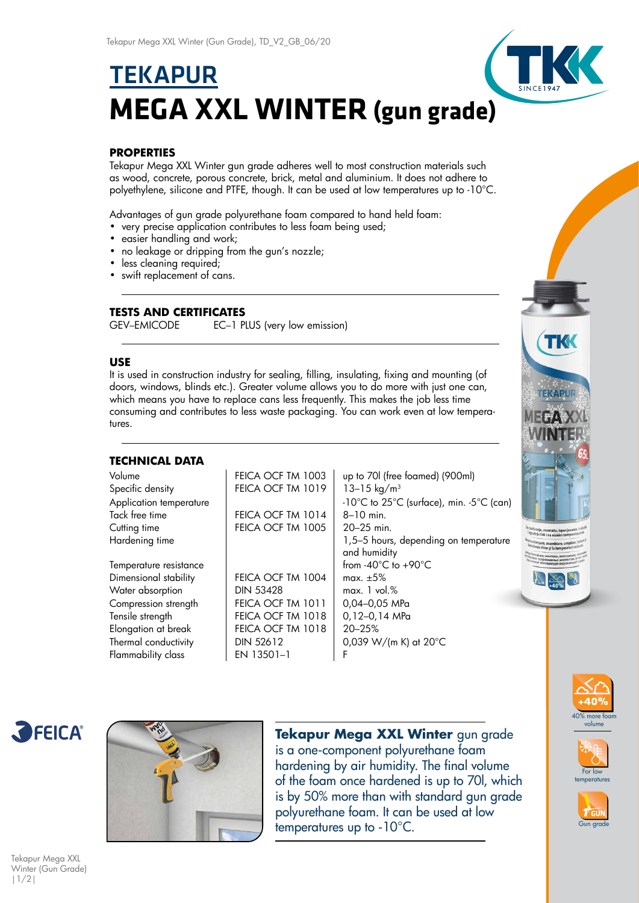# **TEKAPUR MEGA XXL WINTER (gun grade)**

# **PROPERTIES**

Tekapur Mega XXL Winter gun grade adheres well to most construction materials such as wood, concrete, porous concrete, brick, metal and aluminium. It does not adhere to polyethylene, silicone and PTFE, though. It can be used at low temperatures up to -10°C.

Advantages of gun grade polyurethane foam compared to hand held foam:

- very precise application contributes to less foam being used;
- easier handling and work;
- no leakage or dripping from the gun's nozzle;
- less cleaning required;
- swift replacement of cans.

# **TESTS AND CERTIFICATES**

GEV–EMICODE EC–1 PLUS (very low emission)

### **USE**

It is used in construction industry for sealing, filling, insulating, fixing and mounting (of doors, windows, blinds etc.). Greater volume allows you to do more with just one can, which means you have to replace cans less frequently. This makes the job less time consuming and contributes to less waste packaging. You can work even at low temperatures.

## **TECHNICAL DATA**

| Volume                  | FEICA OCF TM 1003 | up to 701 (free foamed) (900ml)          |
|-------------------------|-------------------|------------------------------------------|
| Specific density        | FEICA OCF TM 1019 | 13-15 kg/m <sup>3</sup>                  |
| Application temperature |                   | -10°C to 25°C (surface), min. -5°C (can) |
| Tack free time          | FEICA OCF TM 1014 | $8 - 10$ min.                            |
| Cutting time            | FEICA OCF TM 1005 | $20 - 25$ min.                           |
| Hardening time          |                   | 1,5-5 hours, depending on temperature    |
|                         |                   | and humidity                             |
| Temperature resistance  |                   | from $-40^{\circ}$ C to $+90^{\circ}$ C  |
| Dimensional stability   | FEICA OCF TM 1004 | max. $\pm 5\%$                           |
| Water absorption        | <b>DIN 53428</b>  | max. 1 vol. %                            |
| Compression strength    | FEICA OCF TM 1011 | 0,04-0,05 MPa                            |
| Tensile strength        | FEICA OCF TM 1018 | $0, 12 - 0, 14$ MPa                      |
| Elongation at break     | FEICA OCF TM 1018 | 20-25%                                   |
| Thermal conductivity    | <b>DIN 52612</b>  | 0,039 W/(m K) at $20^{\circ}$ C          |
| Flammability class      | EN 13501-1        | F                                        |
|                         |                   |                                          |





**Tekapur Mega XXL Winter** gun grade is a one-component polyurethane foam hardening by air humidity. The final volume of the foam once hardened is up to 70l, which is by 50% more than with standard gun grade polyurethane foam. It can be used at low  $t_{\text{temperature}}$  temperatures up to -10 $^{\circ}$ C.









Tekapur Mega XXL Winter (Gun Grade) |1/2|